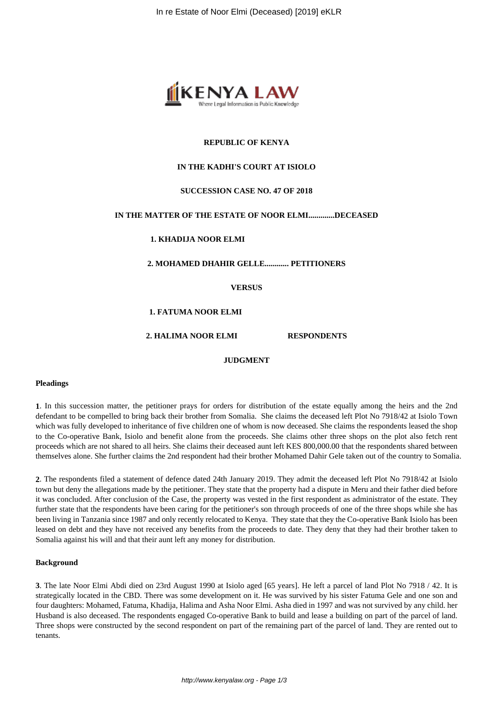

# **REPUBLIC OF KENYA**

## **IN THE KADHI'S COURT AT ISIOLO**

## **SUCCESSION CASE NO. 47 OF 2018**

## **IN THE MATTER OF THE ESTATE OF NOOR ELMI.............DECEASED**

## **1. KHADIJA NOOR ELMI**

**2. MOHAMED DHAHIR GELLE............ PETITIONERS**

**VERSUS**

## **1. FATUMA NOOR ELMI**

### **2. HALIMA NOOR ELMI RESPONDENTS**

# **JUDGMENT**

### **Pleadings**

**1**. In this succession matter, the petitioner prays for orders for distribution of the estate equally among the heirs and the 2nd defendant to be compelled to bring back their brother from Somalia. She claims the deceased left Plot No 7918/42 at Isiolo Town which was fully developed to inheritance of five children one of whom is now deceased. She claims the respondents leased the shop to the Co-operative Bank, Isiolo and benefit alone from the proceeds. She claims other three shops on the plot also fetch rent proceeds which are not shared to all heirs. She claims their deceased aunt left KES 800,000.00 that the respondents shared between themselves alone. She further claims the 2nd respondent had their brother Mohamed Dahir Gele taken out of the country to Somalia.

**2**. The respondents filed a statement of defence dated 24th January 2019. They admit the deceased left Plot No 7918/42 at Isiolo town but deny the allegations made by the petitioner. They state that the property had a dispute in Meru and their father died before it was concluded. After conclusion of the Case, the property was vested in the first respondent as administrator of the estate. They further state that the respondents have been caring for the petitioner's son through proceeds of one of the three shops while she has been living in Tanzania since 1987 and only recently relocated to Kenya. They state that they the Co-operative Bank Isiolo has been leased on debt and they have not received any benefits from the proceeds to date. They deny that they had their brother taken to Somalia against his will and that their aunt left any money for distribution.

### **Background**

**3**. The late Noor Elmi Abdi died on 23rd August 1990 at Isiolo aged [65 years]. He left a parcel of land Plot No 7918 / 42. It is strategically located in the CBD. There was some development on it. He was survived by his sister Fatuma Gele and one son and four daughters: Mohamed, Fatuma, Khadija, Halima and Asha Noor Elmi. Asha died in 1997 and was not survived by any child. her Husband is also deceased. The respondents engaged Co-operative Bank to build and lease a building on part of the parcel of land. Three shops were constructed by the second respondent on part of the remaining part of the parcel of land. They are rented out to tenants.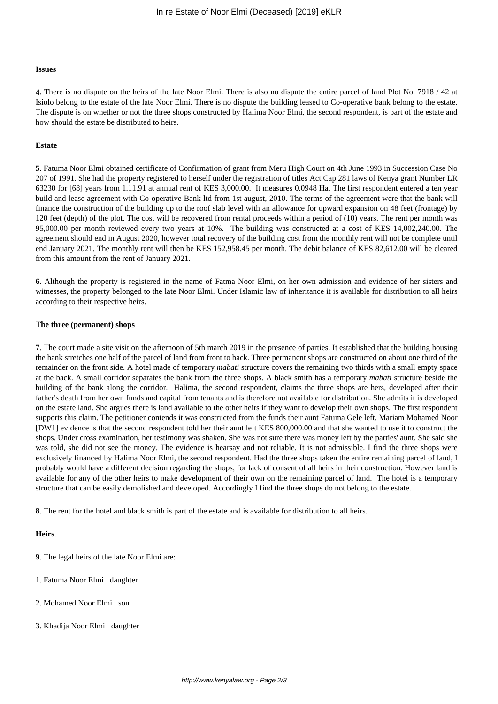#### **Issues**

**4**. There is no dispute on the heirs of the late Noor Elmi. There is also no dispute the entire parcel of land Plot No. 7918 / 42 at Isiolo belong to the estate of the late Noor Elmi. There is no dispute the building leased to Co-operative bank belong to the estate. The dispute is on whether or not the three shops constructed by Halima Noor Elmi, the second respondent, is part of the estate and how should the estate be distributed to heirs.

### **Estate**

**5**. Fatuma Noor Elmi obtained certificate of Confirmation of grant from Meru High Court on 4th June 1993 in Succession Case No 207 of 1991. She had the property registered to herself under the registration of titles Act Cap 281 laws of Kenya grant Number LR 63230 for [68] years from 1.11.91 at annual rent of KES 3,000.00. It measures 0.0948 Ha. The first respondent entered a ten year build and lease agreement with Co-operative Bank ltd from 1st august, 2010. The terms of the agreement were that the bank will finance the construction of the building up to the roof slab level with an allowance for upward expansion on 48 feet (frontage) by 120 feet (depth) of the plot. The cost will be recovered from rental proceeds within a period of (10) years. The rent per month was 95,000.00 per month reviewed every two years at 10%. The building was constructed at a cost of KES 14,002,240.00. The agreement should end in August 2020, however total recovery of the building cost from the monthly rent will not be complete until end January 2021. The monthly rent will then be KES 152,958.45 per month. The debit balance of KES 82,612.00 will be cleared from this amount from the rent of January 2021.

**6**. Although the property is registered in the name of Fatma Noor Elmi, on her own admission and evidence of her sisters and witnesses, the property belonged to the late Noor Elmi. Under Islamic law of inheritance it is available for distribution to all heirs according to their respective heirs.

### **The three (permanent) shops**

**7**. The court made a site visit on the afternoon of 5th march 2019 in the presence of parties. It established that the building housing the bank stretches one half of the parcel of land from front to back. Three permanent shops are constructed on about one third of the remainder on the front side. A hotel made of temporary *mabati* structure covers the remaining two thirds with a small empty space at the back. A small corridor separates the bank from the three shops. A black smith has a temporary *mabati* structure beside the building of the bank along the corridor. Halima, the second respondent, claims the three shops are hers, developed after their father's death from her own funds and capital from tenants and is therefore not available for distribution. She admits it is developed on the estate land. She argues there is land available to the other heirs if they want to develop their own shops. The first respondent supports this claim. The petitioner contends it was constructed from the funds their aunt Fatuma Gele left. Mariam Mohamed Noor [DW1] evidence is that the second respondent told her their aunt left KES 800,000.00 and that she wanted to use it to construct the shops. Under cross examination, her testimony was shaken. She was not sure there was money left by the parties' aunt. She said she was told, she did not see the money. The evidence is hearsay and not reliable. It is not admissible. I find the three shops were exclusively financed by Halima Noor Elmi, the second respondent. Had the three shops taken the entire remaining parcel of land, I probably would have a different decision regarding the shops, for lack of consent of all heirs in their construction. However land is available for any of the other heirs to make development of their own on the remaining parcel of land. The hotel is a temporary structure that can be easily demolished and developed. Accordingly I find the three shops do not belong to the estate.

**8**. The rent for the hotel and black smith is part of the estate and is available for distribution to all heirs.

### **Heirs**.

**9**. The legal heirs of the late Noor Elmi are:

- 1. Fatuma Noor Elmi daughter
- 2. Mohamed Noor Elmi son
- 3. Khadija Noor Elmi daughter